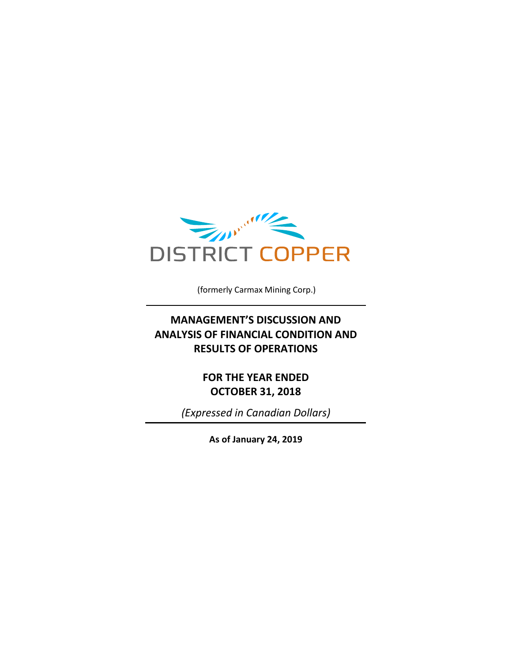

(formerly Carmax Mining Corp.)

## **MANAGEMENT'S DISCUSSION AND ANALYSIS OF FINANCIAL CONDITION AND RESULTS OF OPERATIONS**

**FOR THE YEAR ENDED OCTOBER 31, 2018**

*(Expressed in Canadian Dollars)*

**As of January 24, 2019**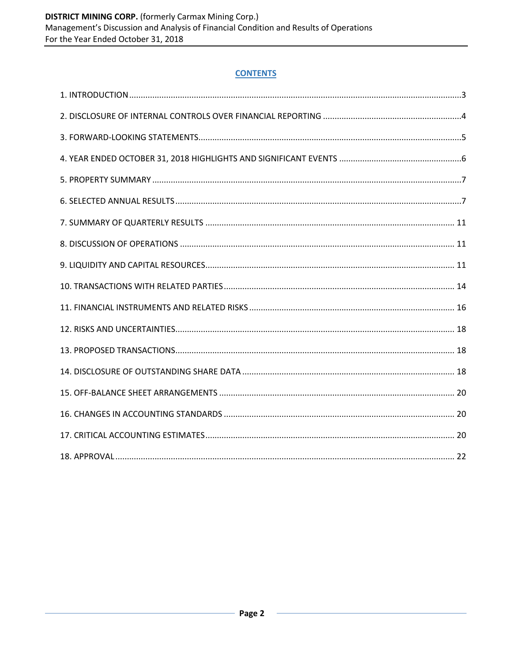### **CONTENTS**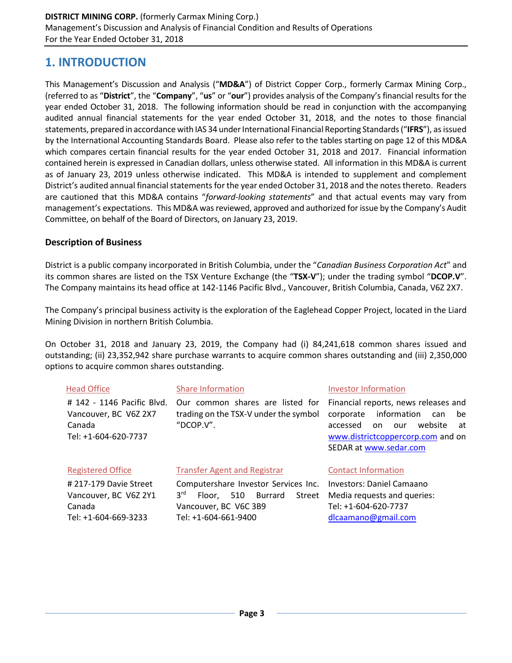## **1. INTRODUCTION**

This Management's Discussion and Analysis ("**MD&A**") of District Copper Corp., formerly Carmax Mining Corp., (referred to as "**District**", the "**Company**", "**us**" or "**our**") provides analysis of the Company's financial results for the year ended October 31, 2018. The following information should be read in conjunction with the accompanying audited annual financial statements for the year ended October 31, 2018, and the notes to those financial statements, prepared in accordance with IAS 34 underInternational Financial Reporting Standards ("**IFRS**"), as issued by the International Accounting Standards Board. Please also refer to the tables starting on page 12 of this MD&A which compares certain financial results for the year ended October 31, 2018 and 2017. Financial information contained herein is expressed in Canadian dollars, unless otherwise stated. All information in this MD&A is current as of January 23, 2019 unless otherwise indicated. This MD&A is intended to supplement and complement District's audited annual financial statements for the year ended October 31, 2018 and the notes thereto. Readers are cautioned that this MD&A contains "*forward-looking statements*" and that actual events may vary from management's expectations. This MD&A was reviewed, approved and authorized for issue by the Company's Audit Committee, on behalf of the Board of Directors, on January 23, 2019.

#### **Description of Business**

District is a public company incorporated in British Columbia, under the "*Canadian Business Corporation Act*" and its common shares are listed on the TSX Venture Exchange (the "**TSX-V**"); under the trading symbol "**DCOP.V**". The Company maintains its head office at 142-1146 Pacific Blvd., Vancouver, British Columbia, Canada, V6Z 2X7.

The Company's principal business activity is the exploration of the Eaglehead Copper Project, located in the Liard Mining Division in northern British Columbia.

On October 31, 2018 and January 23, 2019, the Company had (i) 84,241,618 common shares issued and outstanding; (ii) 23,352,942 share purchase warrants to acquire common shares outstanding and (iii) 2,350,000 options to acquire common shares outstanding.

| <b>Head Office</b>                                                                    | <b>Share Information</b>                                                                                                                                                                                                                                            | <b>Investor Information</b>                                                                             |  |  |  |  |  |
|---------------------------------------------------------------------------------------|---------------------------------------------------------------------------------------------------------------------------------------------------------------------------------------------------------------------------------------------------------------------|---------------------------------------------------------------------------------------------------------|--|--|--|--|--|
| # 142 - 1146 Pacific Blvd.<br>Vancouver, BC V6Z 2X7<br>Canada<br>Tel: +1-604-620-7737 | Financial reports, news releases and<br>Our common shares are listed for<br>information<br>trading on the TSX-V under the symbol<br>corporate<br>be<br>can<br>website<br>accessed<br>on<br>our<br>at<br>www.districtcoppercorp.com and on<br>SEDAR at www.sedar.com |                                                                                                         |  |  |  |  |  |
| <b>Registered Office</b>                                                              | <b>Transfer Agent and Registrar</b>                                                                                                                                                                                                                                 | <b>Contact Information</b>                                                                              |  |  |  |  |  |
| #217-179 Davie Street<br>Vancouver, BC V6Z 2Y1<br>Canada<br>Tel: +1-604-669-3233      | Computershare Investor Services Inc.<br>3 <sup>rd</sup><br>510 Burrard<br>Street<br>Floor.<br>Vancouver, BC V6C 3B9<br>Tel: +1-604-661-9400                                                                                                                         | Investors: Daniel Camaano<br>Media requests and queries:<br>Tel: +1-604-620-7737<br>dlcaamano@gmail.com |  |  |  |  |  |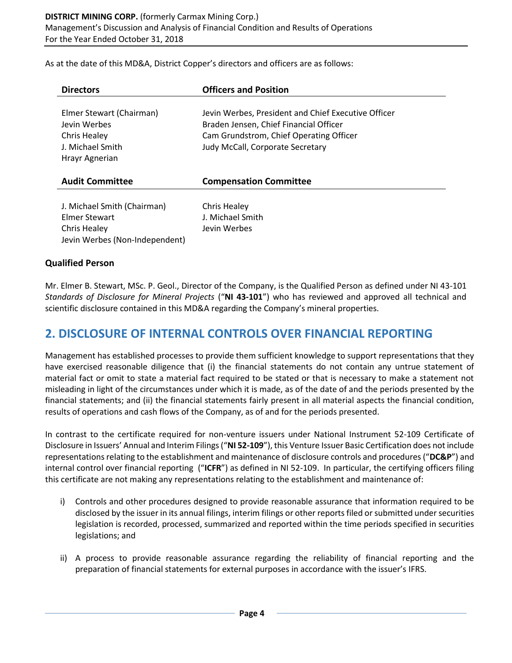As at the date of this MD&A, District Copper's directors and officers are as follows:

| <b>Directors</b>                                                                                      | <b>Officers and Position</b>                                                                                                                                                 |
|-------------------------------------------------------------------------------------------------------|------------------------------------------------------------------------------------------------------------------------------------------------------------------------------|
| Elmer Stewart (Chairman)<br>Jevin Werbes<br><b>Chris Healey</b><br>J. Michael Smith<br>Hrayr Agnerian | Jevin Werbes, President and Chief Executive Officer<br>Braden Jensen, Chief Financial Officer<br>Cam Grundstrom, Chief Operating Officer<br>Judy McCall, Corporate Secretary |
| <b>Audit Committee</b>                                                                                | <b>Compensation Committee</b>                                                                                                                                                |
| J. Michael Smith (Chairman)<br>Elmer Stewart<br>Chris Healey<br>Jevin Werbes (Non-Independent)        | Chris Healey<br>J. Michael Smith<br>Jevin Werbes                                                                                                                             |

#### **Qualified Person**

Mr. Elmer B. Stewart, MSc. P. Geol., Director of the Company, is the Qualified Person as defined under NI 43-101 *Standards of Disclosure for Mineral Projects* ("**NI 43-101**") who has reviewed and approved all technical and scientific disclosure contained in this MD&A regarding the Company's mineral properties.

## **2. DISCLOSURE OF INTERNAL CONTROLS OVER FINANCIAL REPORTING**

Management has established processes to provide them sufficient knowledge to support representations that they have exercised reasonable diligence that (i) the financial statements do not contain any untrue statement of material fact or omit to state a material fact required to be stated or that is necessary to make a statement not misleading in light of the circumstances under which it is made, as of the date of and the periods presented by the financial statements; and (ii) the financial statements fairly present in all material aspects the financial condition, results of operations and cash flows of the Company, as of and for the periods presented.

In contrast to the certificate required for non-venture issuers under National Instrument 52-109 Certificate of Disclosure in Issuers' Annual and Interim Filings ("**NI 52-109**"), this Venture Issuer Basic Certification does not include representations relating to the establishment and maintenance of disclosure controls and procedures ("**DC&P**") and internal control over financial reporting ("**ICFR**") as defined in NI 52-109. In particular, the certifying officers filing this certificate are not making any representations relating to the establishment and maintenance of:

- i) Controls and other procedures designed to provide reasonable assurance that information required to be disclosed by the issuer in its annual filings, interim filings or other reports filed or submitted under securities legislation is recorded, processed, summarized and reported within the time periods specified in securities legislations; and
- ii) A process to provide reasonable assurance regarding the reliability of financial reporting and the preparation of financial statements for external purposes in accordance with the issuer's IFRS.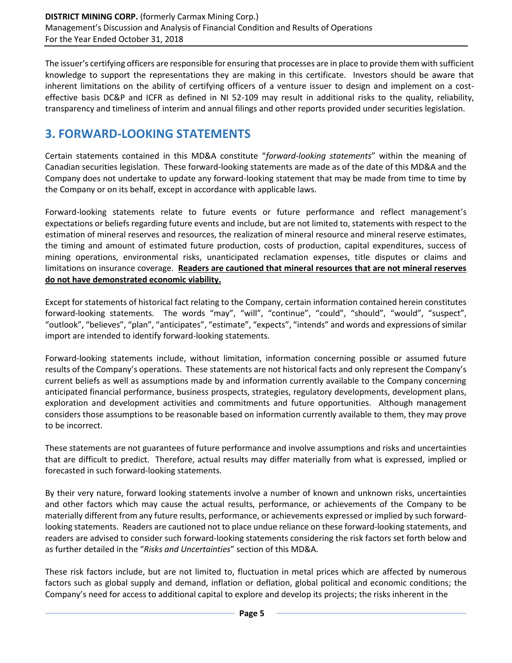The issuer's certifying officers are responsible for ensuring that processes are in place to provide them with sufficient knowledge to support the representations they are making in this certificate. Investors should be aware that inherent limitations on the ability of certifying officers of a venture issuer to design and implement on a costeffective basis DC&P and ICFR as defined in NI 52-109 may result in additional risks to the quality, reliability, transparency and timeliness of interim and annual filings and other reports provided under securities legislation.

# **3. FORWARD-LOOKING STATEMENTS**

Certain statements contained in this MD&A constitute "*forward-looking statements*" within the meaning of Canadian securities legislation. These forward-looking statements are made as of the date of this MD&A and the Company does not undertake to update any forward-looking statement that may be made from time to time by the Company or on its behalf, except in accordance with applicable laws.

Forward-looking statements relate to future events or future performance and reflect management's expectations or beliefs regarding future events and include, but are not limited to, statements with respect to the estimation of mineral reserves and resources, the realization of mineral resource and mineral reserve estimates, the timing and amount of estimated future production, costs of production, capital expenditures, success of mining operations, environmental risks, unanticipated reclamation expenses, title disputes or claims and limitations on insurance coverage. **Readers are cautioned that mineral resources that are not mineral reserves do not have demonstrated economic viability.**

Except for statements of historical fact relating to the Company, certain information contained herein constitutes forward-looking statements. The words "may", "will", "continue", "could", "should", "would", "suspect", "outlook", "believes", "plan", "anticipates", "estimate", "expects", "intends" and words and expressions of similar import are intended to identify forward-looking statements.

Forward-looking statements include, without limitation, information concerning possible or assumed future results of the Company's operations. These statements are not historical facts and only represent the Company's current beliefs as well as assumptions made by and information currently available to the Company concerning anticipated financial performance, business prospects, strategies, regulatory developments, development plans, exploration and development activities and commitments and future opportunities. Although management considers those assumptions to be reasonable based on information currently available to them, they may prove to be incorrect.

These statements are not guarantees of future performance and involve assumptions and risks and uncertainties that are difficult to predict. Therefore, actual results may differ materially from what is expressed, implied or forecasted in such forward-looking statements.

By their very nature, forward looking statements involve a number of known and unknown risks, uncertainties and other factors which may cause the actual results, performance, or achievements of the Company to be materially different from any future results, performance, or achievements expressed or implied by such forwardlooking statements. Readers are cautioned not to place undue reliance on these forward-looking statements, and readers are advised to consider such forward-looking statements considering the risk factors set forth below and as further detailed in the "*Risks and Uncertainties*" section of this MD&A.

These risk factors include, but are not limited to, fluctuation in metal prices which are affected by numerous factors such as global supply and demand, inflation or deflation, global political and economic conditions; the Company's need for access to additional capital to explore and develop its projects; the risks inherent in the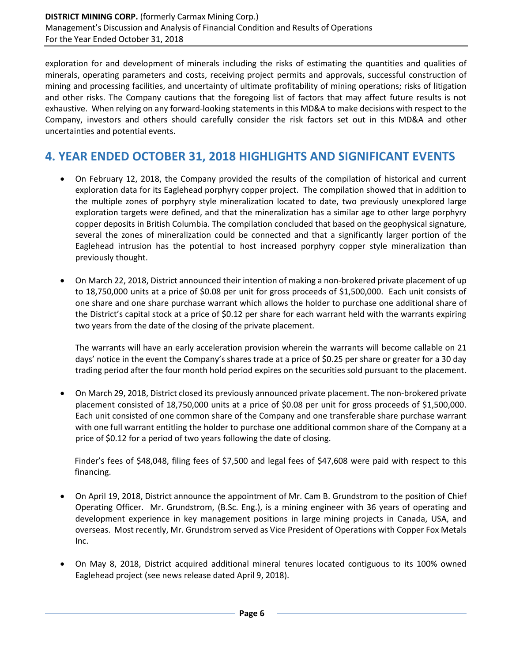exploration for and development of minerals including the risks of estimating the quantities and qualities of minerals, operating parameters and costs, receiving project permits and approvals, successful construction of mining and processing facilities, and uncertainty of ultimate profitability of mining operations; risks of litigation and other risks. The Company cautions that the foregoing list of factors that may affect future results is not exhaustive. When relying on any forward-looking statements in this MD&A to make decisions with respect to the Company, investors and others should carefully consider the risk factors set out in this MD&A and other uncertainties and potential events.

# **4. YEAR ENDED OCTOBER 31, 2018 HIGHLIGHTS AND SIGNIFICANT EVENTS**

- On February 12, 2018, the Company provided the results of the compilation of historical and current exploration data for its Eaglehead porphyry copper project. The compilation showed that in addition to the multiple zones of porphyry style mineralization located to date, two previously unexplored large exploration targets were defined, and that the mineralization has a similar age to other large porphyry copper deposits in British Columbia. The compilation concluded that based on the geophysical signature, several the zones of mineralization could be connected and that a significantly larger portion of the Eaglehead intrusion has the potential to host increased porphyry copper style mineralization than previously thought.
- On March 22, 2018, District announced their intention of making a non-brokered private placement of up to 18,750,000 units at a price of \$0.08 per unit for gross proceeds of \$1,500,000. Each unit consists of one share and one share purchase warrant which allows the holder to purchase one additional share of the District's capital stock at a price of \$0.12 per share for each warrant held with the warrants expiring two years from the date of the closing of the private placement.

The warrants will have an early acceleration provision wherein the warrants will become callable on 21 days' notice in the event the Company's shares trade at a price of \$0.25 per share or greater for a 30 day trading period after the four month hold period expires on the securities sold pursuant to the placement.

• On March 29, 2018, District closed its previously announced private placement. The non-brokered private placement consisted of 18,750,000 units at a price of \$0.08 per unit for gross proceeds of \$1,500,000. Each unit consisted of one common share of the Company and one transferable share purchase warrant with one full warrant entitling the holder to purchase one additional common share of the Company at a price of \$0.12 for a period of two years following the date of closing.

Finder's fees of \$48,048, filing fees of \$7,500 and legal fees of \$47,608 were paid with respect to this financing.

- On April 19, 2018, District announce the appointment of Mr. Cam B. Grundstrom to the position of Chief Operating Officer. Mr. Grundstrom, (B.Sc. Eng.), is a mining engineer with 36 years of operating and development experience in key management positions in large mining projects in Canada, USA, and overseas. Most recently, Mr. Grundstrom served as Vice President of Operations with Copper Fox Metals Inc.
- On May 8, 2018, District acquired additional mineral tenures located contiguous to its 100% owned Eaglehead project (see news release dated April 9, 2018).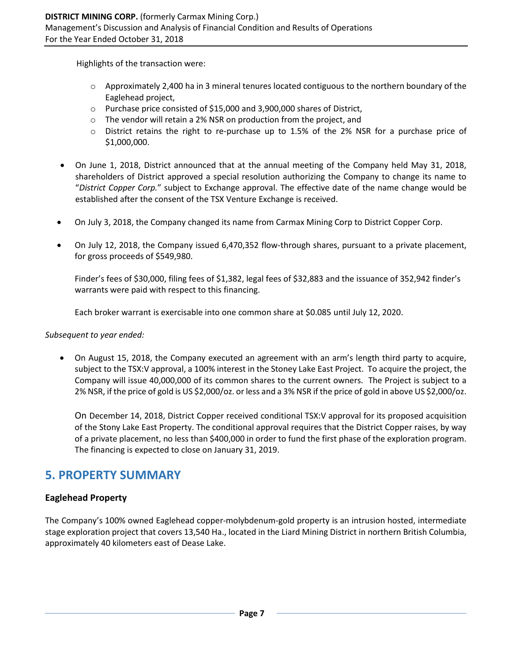Highlights of the transaction were:

- $\circ$  Approximately 2,400 ha in 3 mineral tenures located contiguous to the northern boundary of the Eaglehead project,
- o Purchase price consisted of \$15,000 and 3,900,000 shares of District,
- o The vendor will retain a 2% NSR on production from the project, and
- o District retains the right to re-purchase up to 1.5% of the 2% NSR for a purchase price of \$1,000,000.
- On June 1, 2018, District announced that at the annual meeting of the Company held May 31, 2018, shareholders of District approved a special resolution authorizing the Company to change its name to "*District Copper Corp.*" subject to Exchange approval. The effective date of the name change would be established after the consent of the TSX Venture Exchange is received.
- On July 3, 2018, the Company changed its name from Carmax Mining Corp to District Copper Corp.
- On July 12, 2018, the Company issued 6,470,352 flow-through shares, pursuant to a private placement, for gross proceeds of \$549,980.

Finder's fees of \$30,000, filing fees of \$1,382, legal fees of \$32,883 and the issuance of 352,942 finder's warrants were paid with respect to this financing.

Each broker warrant is exercisable into one common share at \$0.085 until July 12, 2020.

*Subsequent to year ended:*

• On August 15, 2018, the Company executed an agreement with an arm's length third party to acquire, subject to the TSX:V approval, a 100% interest in the Stoney Lake East Project. To acquire the project, the Company will issue 40,000,000 of its common shares to the current owners. The Project is subject to a 2% NSR, if the price of gold is US \$2,000/oz. or less and a 3% NSR if the price of gold in above US \$2,000/oz.

On December 14, 2018, District Copper received conditional TSX:V approval for its proposed acquisition of the Stony Lake East Property. The conditional approval requires that the District Copper raises, by way of a private placement, no less than \$400,000 in order to fund the first phase of the exploration program. The financing is expected to close on January 31, 2019.

# **5. PROPERTY SUMMARY**

### **Eaglehead Property**

The Company's 100% owned Eaglehead copper-molybdenum-gold property is an intrusion hosted, intermediate stage exploration project that covers 13,540 Ha., located in the Liard Mining District in northern British Columbia, approximately 40 kilometers east of Dease Lake.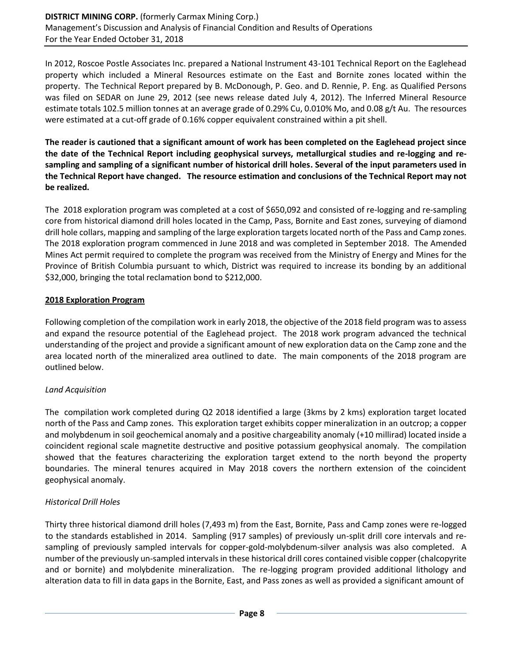In 2012, Roscoe Postle Associates Inc. prepared a National Instrument 43-101 Technical Report on the Eaglehead property which included a Mineral Resources estimate on the East and Bornite zones located within the property. The Technical Report prepared by B. McDonough, P. Geo. and D. Rennie, P. Eng. as Qualified Persons was filed on SEDAR on June 29, 2012 (see news release dated July 4, 2012). The Inferred Mineral Resource estimate totals 102.5 million tonnes at an average grade of 0.29% Cu, 0.010% Mo, and 0.08 g/t Au. The resources were estimated at a cut-off grade of 0.16% copper equivalent constrained within a pit shell.

**The reader is cautioned that a significant amount of work has been completed on the Eaglehead project since the date of the Technical Report including geophysical surveys, metallurgical studies and re-logging and resampling and sampling of a significant number of historical drill holes. Several of the input parameters used in the Technical Report have changed. The resource estimation and conclusions of the Technical Report may not be realized.**

The 2018 exploration program was completed at a cost of \$650,092 and consisted of re-logging and re-sampling core from historical diamond drill holes located in the Camp, Pass, Bornite and East zones, surveying of diamond drill hole collars, mapping and sampling of the large exploration targets located north of the Pass and Camp zones. The 2018 exploration program commenced in June 2018 and was completed in September 2018. The Amended Mines Act permit required to complete the program was received from the Ministry of Energy and Mines for the Province of British Columbia pursuant to which, District was required to increase its bonding by an additional \$32,000, bringing the total reclamation bond to \$212,000.

#### **2018 Exploration Program**

Following completion of the compilation work in early 2018, the objective of the 2018 field program was to assess and expand the resource potential of the Eaglehead project. The 2018 work program advanced the technical understanding of the project and provide a significant amount of new exploration data on the Camp zone and the area located north of the mineralized area outlined to date. The main components of the 2018 program are outlined below.

#### *Land Acquisition*

The compilation work completed during Q2 2018 identified a large (3kms by 2 kms) exploration target located north of the Pass and Camp zones. This exploration target exhibits copper mineralization in an outcrop; a copper and molybdenum in soil geochemical anomaly and a positive chargeability anomaly (+10 millirad) located inside a coincident regional scale magnetite destructive and positive potassium geophysical anomaly. The compilation showed that the features characterizing the exploration target extend to the north beyond the property boundaries. The mineral tenures acquired in May 2018 covers the northern extension of the coincident geophysical anomaly.

### *Historical Drill Holes*

Thirty three historical diamond drill holes (7,493 m) from the East, Bornite, Pass and Camp zones were re-logged to the standards established in 2014. Sampling (917 samples) of previously un-split drill core intervals and resampling of previously sampled intervals for copper-gold-molybdenum-silver analysis was also completed. A number of the previously un-sampled intervals in these historical drill cores contained visible copper (chalcopyrite and or bornite) and molybdenite mineralization. The re-logging program provided additional lithology and alteration data to fill in data gaps in the Bornite, East, and Pass zones as well as provided a significant amount of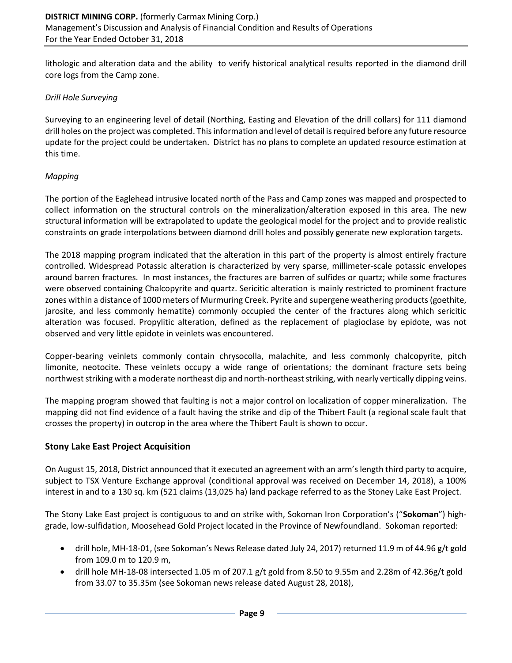lithologic and alteration data and the ability to verify historical analytical results reported in the diamond drill core logs from the Camp zone.

#### *Drill Hole Surveying*

Surveying to an engineering level of detail (Northing, Easting and Elevation of the drill collars) for 111 diamond drill holes on the project was completed. This information and level of detail is required before any future resource update for the project could be undertaken. District has no plans to complete an updated resource estimation at this time.

#### *Mapping*

The portion of the Eaglehead intrusive located north of the Pass and Camp zones was mapped and prospected to collect information on the structural controls on the mineralization/alteration exposed in this area. The new structural information will be extrapolated to update the geological model for the project and to provide realistic constraints on grade interpolations between diamond drill holes and possibly generate new exploration targets.

The 2018 mapping program indicated that the alteration in this part of the property is almost entirely fracture controlled. Widespread Potassic alteration is characterized by very sparse, millimeter-scale potassic envelopes around barren fractures. In most instances, the fractures are barren of sulfides or quartz; while some fractures were observed containing Chalcopyrite and quartz. Sericitic alteration is mainly restricted to prominent fracture zones within a distance of 1000 meters of Murmuring Creek. Pyrite and supergene weathering products (goethite, jarosite, and less commonly hematite) commonly occupied the center of the fractures along which sericitic alteration was focused. Propylitic alteration, defined as the replacement of plagioclase by epidote, was not observed and very little epidote in veinlets was encountered.

Copper-bearing veinlets commonly contain chrysocolla, malachite, and less commonly chalcopyrite, pitch limonite, neotocite. These veinlets occupy a wide range of orientations; the dominant fracture sets being northwest striking with a moderate northeast dip and north-northeast striking, with nearly vertically dipping veins.

The mapping program showed that faulting is not a major control on localization of copper mineralization. The mapping did not find evidence of a fault having the strike and dip of the Thibert Fault (a regional scale fault that crosses the property) in outcrop in the area where the Thibert Fault is shown to occur.

#### **Stony Lake East Project Acquisition**

On August 15, 2018, District announced that it executed an agreement with an arm's length third party to acquire, subject to TSX Venture Exchange approval (conditional approval was received on December 14, 2018), a 100% interest in and to a 130 sq. km (521 claims (13,025 ha) land package referred to as the Stoney Lake East Project.

The Stony Lake East project is contiguous to and on strike with, Sokoman Iron Corporation's ("**Sokoman**") highgrade, low-sulfidation, Moosehead Gold Project located in the Province of Newfoundland. Sokoman reported:

- drill hole, MH-18-01, (see Sokoman's News Release dated July 24, 2017) returned 11.9 m of 44.96 g/t gold from 109.0 m to 120.9 m,
- drill hole MH-18-08 intersected 1.05 m of 207.1 g/t gold from 8.50 to 9.55m and 2.28m of 42.36g/t gold from 33.07 to 35.35m (see Sokoman news release dated August 28, 2018),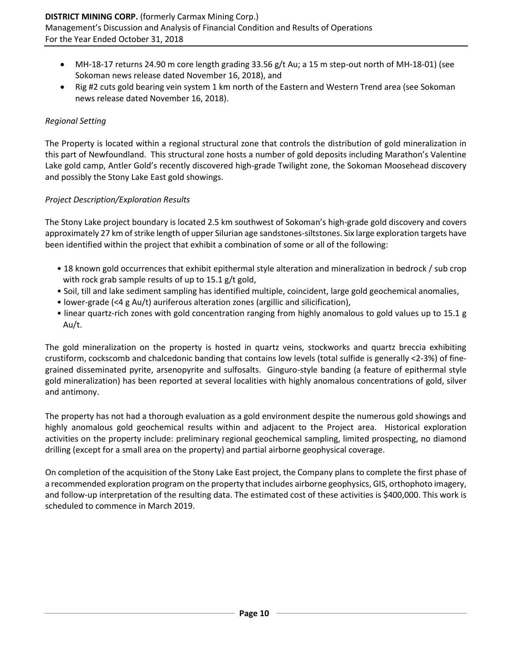- MH-18-17 returns 24.90 m core length grading 33.56 g/t Au; a 15 m step-out north of MH-18-01) (see Sokoman news release dated November 16, 2018), and
- Rig #2 cuts gold bearing vein system 1 km north of the Eastern and Western Trend area (see Sokoman news release dated November 16, 2018).

#### *Regional Setting*

The Property is located within a regional structural zone that controls the distribution of gold mineralization in this part of Newfoundland. This structural zone hosts a number of gold deposits including Marathon's Valentine Lake gold camp, Antler Gold's recently discovered high-grade Twilight zone, the Sokoman Moosehead discovery and possibly the Stony Lake East gold showings.

#### *Project Description/Exploration Results*

The Stony Lake project boundary is located 2.5 km southwest of Sokoman's high-grade gold discovery and covers approximately 27 km of strike length of upper Silurian age sandstones-siltstones. Six large exploration targets have been identified within the project that exhibit a combination of some or all of the following:

- 18 known gold occurrences that exhibit epithermal style alteration and mineralization in bedrock / sub crop with rock grab sample results of up to 15.1 g/t gold,
- Soil, till and lake sediment sampling has identified multiple, coincident, large gold geochemical anomalies,
- lower-grade (<4 g Au/t) auriferous alteration zones (argillic and silicification),
- linear quartz-rich zones with gold concentration ranging from highly anomalous to gold values up to 15.1 g Au/t.

The gold mineralization on the property is hosted in quartz veins, stockworks and quartz breccia exhibiting crustiform, cockscomb and chalcedonic banding that contains low levels (total sulfide is generally <2-3%) of finegrained disseminated pyrite, arsenopyrite and sulfosalts. Ginguro-style banding (a feature of epithermal style gold mineralization) has been reported at several localities with highly anomalous concentrations of gold, silver and antimony.

The property has not had a thorough evaluation as a gold environment despite the numerous gold showings and highly anomalous gold geochemical results within and adjacent to the Project area. Historical exploration activities on the property include: preliminary regional geochemical sampling, limited prospecting, no diamond drilling (except for a small area on the property) and partial airborne geophysical coverage.

On completion of the acquisition of the Stony Lake East project, the Company plans to complete the first phase of a recommended exploration program on the property that includes airborne geophysics, GIS, orthophoto imagery, and follow-up interpretation of the resulting data. The estimated cost of these activities is \$400,000. This work is scheduled to commence in March 2019.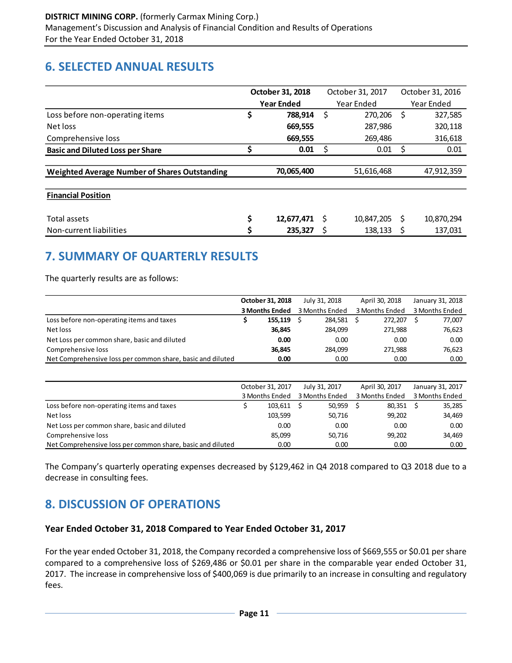# **6. SELECTED ANNUAL RESULTS**

|                                                      | October 31, 2018                |            |   | October 31, 2017 |            | October 31, 2016 |  |
|------------------------------------------------------|---------------------------------|------------|---|------------------|------------|------------------|--|
|                                                      | <b>Year Ended</b><br>Year Ended |            |   |                  | Year Ended |                  |  |
| Loss before non-operating items                      | \$                              | 788.914    | Ś | 270,206          | Ś          | 327,585          |  |
| Net loss                                             |                                 | 669.555    |   | 287.986          |            | 320,118          |  |
| Comprehensive loss                                   |                                 | 669,555    |   | 269.486          |            | 316,618          |  |
| <b>Basic and Diluted Loss per Share</b>              |                                 | 0.01       | S | 0.01             | S          | 0.01             |  |
|                                                      |                                 |            |   |                  |            |                  |  |
| <b>Weighted Average Number of Shares Outstanding</b> |                                 | 70,065,400 |   | 51,616,468       |            | 47,912,359       |  |
|                                                      |                                 |            |   |                  |            |                  |  |
| <b>Financial Position</b>                            |                                 |            |   |                  |            |                  |  |
|                                                      |                                 |            |   |                  |            |                  |  |
| Total assets                                         | \$                              | 12,677,471 | S | 10,847,205       | S          | 10,870,294       |  |
| Non-current liabilities                              | \$                              | 235.327    |   | 138,133          |            | 137,031          |  |

# **7. SUMMARY OF QUARTERLY RESULTS**

The quarterly results are as follows:

|                                                            | October 31, 2018      |      | July 31, 2018  | April 30, 2018 | January 31, 2018 |
|------------------------------------------------------------|-----------------------|------|----------------|----------------|------------------|
|                                                            | <b>3 Months Ended</b> |      | 3 Months Ended | 3 Months Ended | 3 Months Ended   |
| Loss before non-operating items and taxes                  | 155.119               |      | 284.581        | 272.207        | 77,007           |
| Net loss                                                   | 36.845                |      | 284.099        | 271.988        | 76,623           |
| Net Loss per common share, basic and diluted               |                       | 0.00 | 0.00           | 0.00           | 0.00             |
| Comprehensive loss                                         | 36.845                |      | 284.099        | 271.988        | 76.623           |
| Net Comprehensive loss per common share, basic and diluted |                       | 0.00 | 0.00           | 0.00           | 0.00             |

|                                                            | October 31, 2017 |                | July 31, 2017 |                | April 30, 2017 |                | January 31, 2017 |                |
|------------------------------------------------------------|------------------|----------------|---------------|----------------|----------------|----------------|------------------|----------------|
|                                                            |                  | 3 Months Ended |               | 3 Months Ended |                | 3 Months Ended |                  | 3 Months Ended |
| Loss before non-operating items and taxes                  |                  | 103,611        |               | 50,959         |                | 80,351         |                  | 35,285         |
| Net loss                                                   |                  | 103,599        |               | 50,716         |                | 99.202         |                  | 34,469         |
| Net Loss per common share, basic and diluted               |                  | 0.00           |               | 0.00           |                | 0.00           |                  | 0.00           |
| Comprehensive loss                                         |                  | 85,099         |               | 50,716         |                | 99.202         |                  | 34,469         |
| Net Comprehensive loss per common share, basic and diluted |                  | 0.00           |               | 0.00           |                | 0.00           |                  | 0.00           |

The Company's quarterly operating expenses decreased by \$129,462 in Q4 2018 compared to Q3 2018 due to a decrease in consulting fees.

# **8. DISCUSSION OF OPERATIONS**

#### **Year Ended October 31, 2018 Compared to Year Ended October 31, 2017**

For the year ended October 31, 2018, the Company recorded a comprehensive loss of \$669,555 or \$0.01 per share compared to a comprehensive loss of \$269,486 or \$0.01 per share in the comparable year ended October 31, 2017. The increase in comprehensive loss of \$400,069 is due primarily to an increase in consulting and regulatory fees.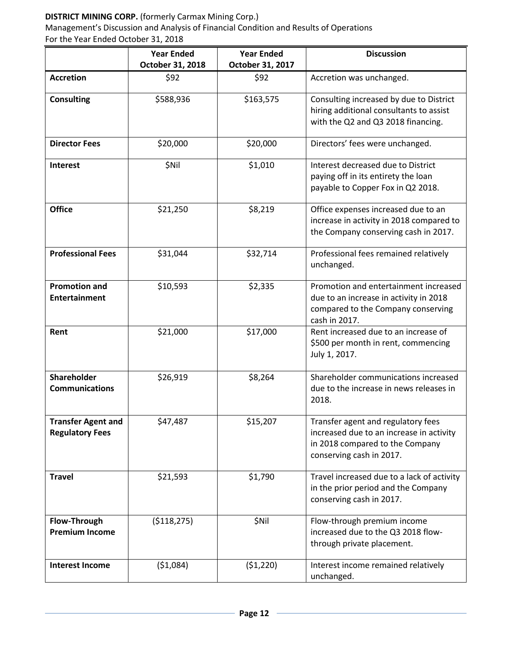### **DISTRICT MINING CORP.** (formerly Carmax Mining Corp.)

Management's Discussion and Analysis of Financial Condition and Results of Operations For the Year Ended October 31, 2018

|                                                     | <b>Year Ended</b><br>October 31, 2018 | <b>Year Ended</b><br>October 31, 2017 | <b>Discussion</b>                                                                                                                             |
|-----------------------------------------------------|---------------------------------------|---------------------------------------|-----------------------------------------------------------------------------------------------------------------------------------------------|
| <b>Accretion</b>                                    | \$92                                  | \$92                                  | Accretion was unchanged.                                                                                                                      |
| <b>Consulting</b>                                   | \$588,936                             | \$163,575                             | Consulting increased by due to District<br>hiring additional consultants to assist<br>with the Q2 and Q3 2018 financing.                      |
| <b>Director Fees</b>                                | \$20,000                              | \$20,000                              | Directors' fees were unchanged.                                                                                                               |
| Interest                                            | \$Nil<br>\$1,010                      |                                       | Interest decreased due to District<br>paying off in its entirety the loan<br>payable to Copper Fox in Q2 2018.                                |
| <b>Office</b>                                       | \$21,250<br>\$8,219                   |                                       | Office expenses increased due to an<br>increase in activity in 2018 compared to<br>the Company conserving cash in 2017.                       |
| <b>Professional Fees</b>                            | \$31,044                              | \$32,714                              | Professional fees remained relatively<br>unchanged.                                                                                           |
| <b>Promotion and</b><br><b>Entertainment</b>        | \$10,593                              | \$2,335                               | Promotion and entertainment increased<br>due to an increase in activity in 2018<br>compared to the Company conserving<br>cash in 2017.        |
| Rent                                                | \$21,000                              | \$17,000                              | Rent increased due to an increase of<br>\$500 per month in rent, commencing<br>July 1, 2017.                                                  |
| Shareholder<br><b>Communications</b>                | \$26,919                              | \$8,264                               | Shareholder communications increased<br>due to the increase in news releases in<br>2018.                                                      |
| <b>Transfer Agent and</b><br><b>Regulatory Fees</b> | \$47,487<br>\$15,207                  |                                       | Transfer agent and regulatory fees<br>increased due to an increase in activity<br>in 2018 compared to the Company<br>conserving cash in 2017. |
| <b>Travel</b>                                       | \$21,593                              | \$1,790                               | Travel increased due to a lack of activity<br>in the prior period and the Company<br>conserving cash in 2017.                                 |
| Flow-Through<br><b>Premium Income</b>               | ( \$118, 275)                         | \$Nil                                 | Flow-through premium income<br>increased due to the Q3 2018 flow-<br>through private placement.                                               |
| <b>Interest Income</b>                              | ( \$1,084)                            | ( \$1,220)                            | Interest income remained relatively<br>unchanged.                                                                                             |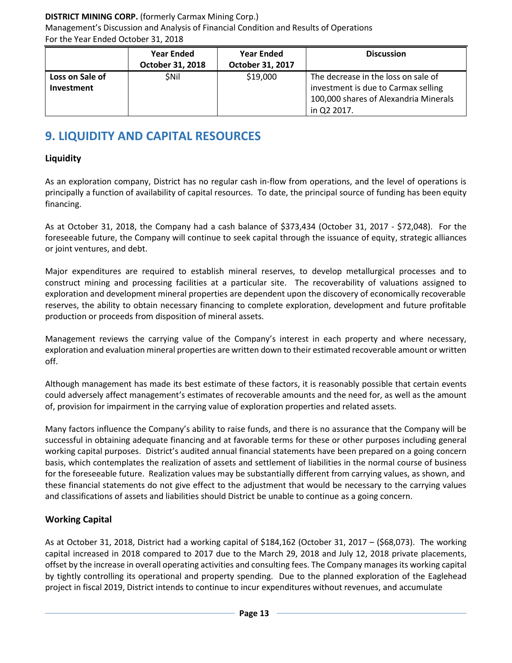### **DISTRICT MINING CORP.** (formerly Carmax Mining Corp.)

Management's Discussion and Analysis of Financial Condition and Results of Operations For the Year Ended October 31, 2018

|                                      | <b>Year Ended</b><br><b>October 31, 2018</b> | <b>Year Ended</b><br>October 31, 2017 | <b>Discussion</b>                                                                                                                  |
|--------------------------------------|----------------------------------------------|---------------------------------------|------------------------------------------------------------------------------------------------------------------------------------|
| Loss on Sale of<br><b>Investment</b> | <b>SNil</b>                                  | \$19,000                              | The decrease in the loss on sale of<br>investment is due to Carmax selling<br>100,000 shares of Alexandria Minerals<br>in Q2 2017. |

# **9. LIQUIDITY AND CAPITAL RESOURCES**

## **Liquidity**

As an exploration company, District has no regular cash in-flow from operations, and the level of operations is principally a function of availability of capital resources. To date, the principal source of funding has been equity financing.

As at October 31, 2018, the Company had a cash balance of \$373,434 (October 31, 2017 - \$72,048). For the foreseeable future, the Company will continue to seek capital through the issuance of equity, strategic alliances or joint ventures, and debt.

Major expenditures are required to establish mineral reserves, to develop metallurgical processes and to construct mining and processing facilities at a particular site. The recoverability of valuations assigned to exploration and development mineral properties are dependent upon the discovery of economically recoverable reserves, the ability to obtain necessary financing to complete exploration, development and future profitable production or proceeds from disposition of mineral assets.

Management reviews the carrying value of the Company's interest in each property and where necessary, exploration and evaluation mineral properties are written down to their estimated recoverable amount or written off.

Although management has made its best estimate of these factors, it is reasonably possible that certain events could adversely affect management's estimates of recoverable amounts and the need for, as well as the amount of, provision for impairment in the carrying value of exploration properties and related assets.

Many factors influence the Company's ability to raise funds, and there is no assurance that the Company will be successful in obtaining adequate financing and at favorable terms for these or other purposes including general working capital purposes. District's audited annual financial statements have been prepared on a going concern basis, which contemplates the realization of assets and settlement of liabilities in the normal course of business for the foreseeable future. Realization values may be substantially different from carrying values, as shown, and these financial statements do not give effect to the adjustment that would be necessary to the carrying values and classifications of assets and liabilities should District be unable to continue as a going concern.

### **Working Capital**

As at October 31, 2018, District had a working capital of \$184,162 (October 31, 2017 – (\$68,073). The working capital increased in 2018 compared to 2017 due to the March 29, 2018 and July 12, 2018 private placements, offset by the increase in overall operating activities and consulting fees. The Company manages its working capital by tightly controlling its operational and property spending. Due to the planned exploration of the Eaglehead project in fiscal 2019, District intends to continue to incur expenditures without revenues, and accumulate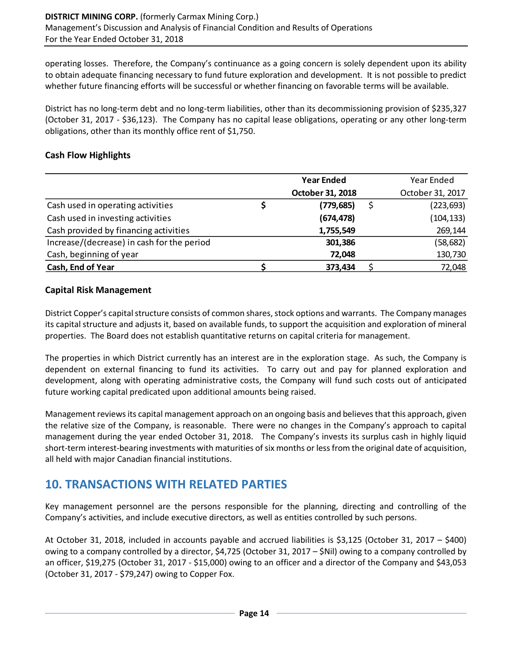operating losses. Therefore, the Company's continuance as a going concern is solely dependent upon its ability to obtain adequate financing necessary to fund future exploration and development. It is not possible to predict whether future financing efforts will be successful or whether financing on favorable terms will be available.

District has no long-term debt and no long-term liabilities, other than its decommissioning provision of \$235,327 (October 31, 2017 - \$36,123). The Company has no capital lease obligations, operating or any other long-term obligations, other than its monthly office rent of \$1,750.

### **Cash Flow Highlights**

|                                            |   | <b>Year Ended</b> | Year Ended       |
|--------------------------------------------|---|-------------------|------------------|
|                                            |   | October 31, 2018  | October 31, 2017 |
| Cash used in operating activities          | Ş | (779, 685)        | (223, 693)       |
| Cash used in investing activities          |   | (674, 478)        | (104, 133)       |
| Cash provided by financing activities      |   | 1,755,549         | 269,144          |
| Increase/(decrease) in cash for the period |   | 301,386           | (58, 682)        |
| Cash, beginning of year                    |   | 72,048            | 130,730          |
| Cash, End of Year                          |   | 373,434           | 72,048           |

#### **Capital Risk Management**

District Copper's capital structure consists of common shares, stock options and warrants. The Company manages its capital structure and adjusts it, based on available funds, to support the acquisition and exploration of mineral properties. The Board does not establish quantitative returns on capital criteria for management.

The properties in which District currently has an interest are in the exploration stage. As such, the Company is dependent on external financing to fund its activities. To carry out and pay for planned exploration and development, along with operating administrative costs, the Company will fund such costs out of anticipated future working capital predicated upon additional amounts being raised.

Management reviews its capital management approach on an ongoing basis and believes that this approach, given the relative size of the Company, is reasonable. There were no changes in the Company's approach to capital management during the year ended October 31, 2018. The Company's invests its surplus cash in highly liquid short-term interest-bearing investments with maturities of six months or less from the original date of acquisition, all held with major Canadian financial institutions.

# **10. TRANSACTIONS WITH RELATED PARTIES**

Key management personnel are the persons responsible for the planning, directing and controlling of the Company's activities, and include executive directors, as well as entities controlled by such persons.

At October 31, 2018, included in accounts payable and accrued liabilities is \$3,125 (October 31, 2017 – \$400) owing to a company controlled by a director, \$4,725 (October 31, 2017 – \$Nil) owing to a company controlled by an officer, \$19,275 (October 31, 2017 - \$15,000) owing to an officer and a director of the Company and \$43,053 (October 31, 2017 - \$79,247) owing to Copper Fox.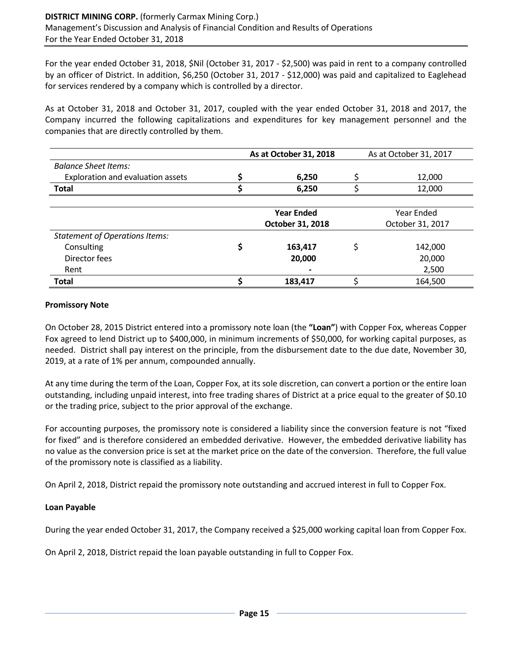For the year ended October 31, 2018, \$Nil (October 31, 2017 - \$2,500) was paid in rent to a company controlled by an officer of District. In addition, \$6,250 (October 31, 2017 - \$12,000) was paid and capitalized to Eaglehead for services rendered by a company which is controlled by a director.

As at October 31, 2018 and October 31, 2017, coupled with the year ended October 31, 2018 and 2017, the Company incurred the following capitalizations and expenditures for key management personnel and the companies that are directly controlled by them.

|                                       | As at October 31, 2018 | As at October 31, 2017 |  |  |
|---------------------------------------|------------------------|------------------------|--|--|
| <b>Balance Sheet Items:</b>           |                        |                        |  |  |
| Exploration and evaluation assets     | 6,250                  | 12,000                 |  |  |
| <b>Total</b>                          | 6,250                  | 12,000                 |  |  |
|                                       |                        |                        |  |  |
|                                       | <b>Year Ended</b>      | Year Ended             |  |  |
|                                       | October 31, 2018       | October 31, 2017       |  |  |
| <b>Statement of Operations Items:</b> |                        |                        |  |  |
| Consulting                            | 163,417                | \$<br>142,000          |  |  |
| Director fees                         | 20,000                 | 20,000                 |  |  |
| Rent                                  |                        | 2,500                  |  |  |
| <b>Total</b>                          | 183,417                | 164,500                |  |  |

#### **Promissory Note**

On October 28, 2015 District entered into a promissory note loan (the **"Loan"**) with Copper Fox, whereas Copper Fox agreed to lend District up to \$400,000, in minimum increments of \$50,000, for working capital purposes, as needed. District shall pay interest on the principle, from the disbursement date to the due date, November 30, 2019, at a rate of 1% per annum, compounded annually.

At any time during the term of the Loan, Copper Fox, at its sole discretion, can convert a portion or the entire loan outstanding, including unpaid interest, into free trading shares of District at a price equal to the greater of \$0.10 or the trading price, subject to the prior approval of the exchange.

For accounting purposes, the promissory note is considered a liability since the conversion feature is not "fixed for fixed" and is therefore considered an embedded derivative. However, the embedded derivative liability has no value as the conversion price is set at the market price on the date of the conversion. Therefore, the full value of the promissory note is classified as a liability.

On April 2, 2018, District repaid the promissory note outstanding and accrued interest in full to Copper Fox.

#### **Loan Payable**

During the year ended October 31, 2017, the Company received a \$25,000 working capital loan from Copper Fox.

On April 2, 2018, District repaid the loan payable outstanding in full to Copper Fox.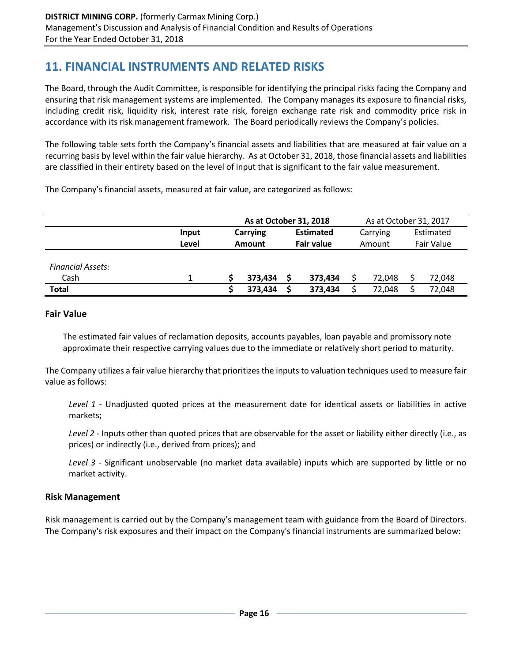## **11. FINANCIAL INSTRUMENTS AND RELATED RISKS**

The Board, through the Audit Committee, is responsible for identifying the principal risks facing the Company and ensuring that risk management systems are implemented. The Company manages its exposure to financial risks, including credit risk, liquidity risk, interest rate risk, foreign exchange rate risk and commodity price risk in accordance with its risk management framework. The Board periodically reviews the Company's policies.

The following table sets forth the Company's financial assets and liabilities that are measured at fair value on a recurring basis by level within the fair value hierarchy. As at October 31, 2018, those financial assets and liabilities are classified in their entirety based on the level of input that is significant to the fair value measurement.

The Company's financial assets, measured at fair value, are categorized as follows:

|                          | As at October 31, 2018 |          |         |                   |                  | As at October 31, 2017 |          |            |        |  |           |
|--------------------------|------------------------|----------|---------|-------------------|------------------|------------------------|----------|------------|--------|--|-----------|
|                          | Input                  | Carrying |         |                   | <b>Estimated</b> |                        | Carrying |            |        |  | Estimated |
|                          | Level                  | Amount   |         | <b>Fair value</b> |                  | Amount                 |          | Fair Value |        |  |           |
|                          |                        |          |         |                   |                  |                        |          |            |        |  |           |
| <b>Financial Assets:</b> |                        |          |         |                   |                  |                        |          |            |        |  |           |
| Cash                     |                        |          | 373,434 |                   | 373,434          |                        | 72.048   |            | 72,048 |  |           |
| <b>Total</b>             |                        |          | 373,434 |                   | 373,434          |                        | 72,048   |            | 72,048 |  |           |

#### **Fair Value**

The estimated fair values of reclamation deposits, accounts payables, loan payable and promissory note approximate their respective carrying values due to the immediate or relatively short period to maturity.

The Company utilizes a fair value hierarchy that prioritizes the inputs to valuation techniques used to measure fair value as follows:

*Level 1* - Unadjusted quoted prices at the measurement date for identical assets or liabilities in active markets;

*Level 2* - Inputs other than quoted prices that are observable for the asset or liability either directly (i.e., as prices) or indirectly (i.e., derived from prices); and

*Level 3* - Significant unobservable (no market data available) inputs which are supported by little or no market activity.

#### **Risk Management**

Risk management is carried out by the Company's management team with guidance from the Board of Directors. The Company's risk exposures and their impact on the Company's financial instruments are summarized below: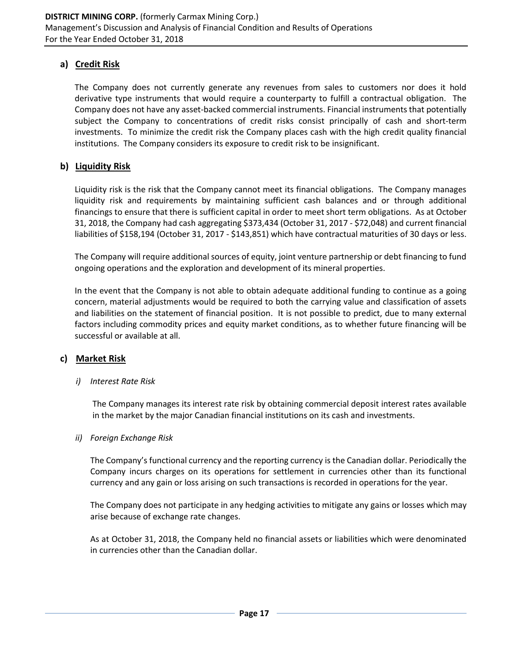### **a) Credit Risk**

The Company does not currently generate any revenues from sales to customers nor does it hold derivative type instruments that would require a counterparty to fulfill a contractual obligation. The Company does not have any asset-backed commercial instruments. Financial instruments that potentially subject the Company to concentrations of credit risks consist principally of cash and short-term investments. To minimize the credit risk the Company places cash with the high credit quality financial institutions. The Company considers its exposure to credit risk to be insignificant.

#### **b) Liquidity Risk**

Liquidity risk is the risk that the Company cannot meet its financial obligations. The Company manages liquidity risk and requirements by maintaining sufficient cash balances and or through additional financings to ensure that there is sufficient capital in order to meet short term obligations. As at October 31, 2018, the Company had cash aggregating \$373,434 (October 31, 2017 - \$72,048) and current financial liabilities of \$158,194 (October 31, 2017 - \$143,851) which have contractual maturities of 30 days or less.

The Company will require additional sources of equity, joint venture partnership or debt financing to fund ongoing operations and the exploration and development of its mineral properties.

In the event that the Company is not able to obtain adequate additional funding to continue as a going concern, material adjustments would be required to both the carrying value and classification of assets and liabilities on the statement of financial position. It is not possible to predict, due to many external factors including commodity prices and equity market conditions, as to whether future financing will be successful or available at all.

#### **c) Market Risk**

#### *i) Interest Rate Risk*

The Company manages its interest rate risk by obtaining commercial deposit interest rates available in the market by the major Canadian financial institutions on its cash and investments.

#### *ii) Foreign Exchange Risk*

The Company's functional currency and the reporting currency is the Canadian dollar. Periodically the Company incurs charges on its operations for settlement in currencies other than its functional currency and any gain or loss arising on such transactions is recorded in operations for the year.

The Company does not participate in any hedging activities to mitigate any gains or losses which may arise because of exchange rate changes.

As at October 31, 2018, the Company held no financial assets or liabilities which were denominated in currencies other than the Canadian dollar.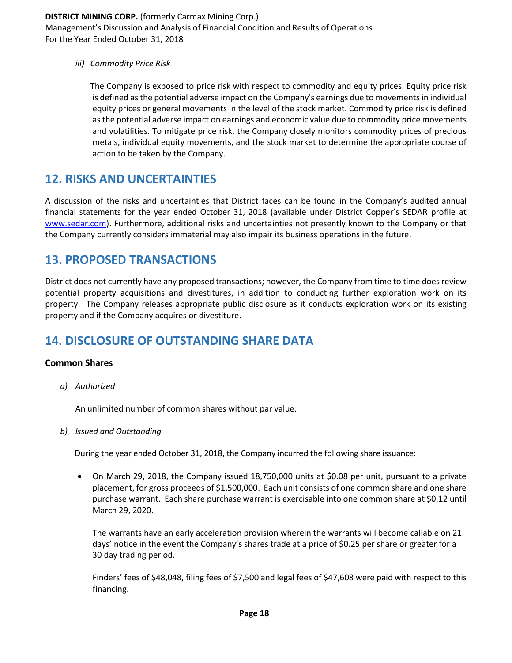*iii) Commodity Price Risk*

The Company is exposed to price risk with respect to commodity and equity prices. Equity price risk is defined as the potential adverse impact on the Company's earnings due to movements in individual equity prices or general movements in the level of the stock market. Commodity price risk is defined as the potential adverse impact on earnings and economic value due to commodity price movements and volatilities. To mitigate price risk, the Company closely monitors commodity prices of precious metals, individual equity movements, and the stock market to determine the appropriate course of action to be taken by the Company.

## **12. RISKS AND UNCERTAINTIES**

A discussion of the risks and uncertainties that District faces can be found in the Company's audited annual financial statements for the year ended October 31, 2018 (available under District Copper's SEDAR profile at [www.sedar.com\)](http://www.sedar.com/). Furthermore, additional risks and uncertainties not presently known to the Company or that the Company currently considers immaterial may also impair its business operations in the future.

## **13. PROPOSED TRANSACTIONS**

District does not currently have any proposed transactions; however, the Company from time to time does review potential property acquisitions and divestitures, in addition to conducting further exploration work on its property. The Company releases appropriate public disclosure as it conducts exploration work on its existing property and if the Company acquires or divestiture.

# **14. DISCLOSURE OF OUTSTANDING SHARE DATA**

#### **Common Shares**

*a) Authorized*

An unlimited number of common shares without par value.

*b) Issued and Outstanding*

During the year ended October 31, 2018, the Company incurred the following share issuance:

• On March 29, 2018, the Company issued 18,750,000 units at \$0.08 per unit, pursuant to a private placement, for gross proceeds of \$1,500,000. Each unit consists of one common share and one share purchase warrant. Each share purchase warrant is exercisable into one common share at \$0.12 until March 29, 2020.

The warrants have an early acceleration provision wherein the warrants will become callable on 21 days' notice in the event the Company's shares trade at a price of \$0.25 per share or greater for a 30 day trading period.

Finders' fees of \$48,048, filing fees of \$7,500 and legal fees of \$47,608 were paid with respect to this financing.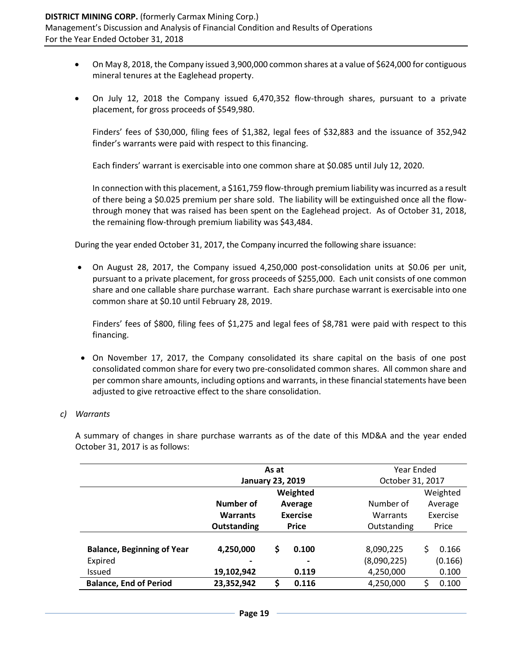- On May 8, 2018, the Company issued 3,900,000 common shares at a value of \$624,000 for contiguous mineral tenures at the Eaglehead property.
- On July 12, 2018 the Company issued 6,470,352 flow-through shares, pursuant to a private placement, for gross proceeds of \$549,980.

Finders' fees of \$30,000, filing fees of \$1,382, legal fees of \$32,883 and the issuance of 352,942 finder's warrants were paid with respect to this financing.

Each finders' warrant is exercisable into one common share at \$0.085 until July 12, 2020.

In connection with this placement, a \$161,759 flow-through premium liability was incurred as a result of there being a \$0.025 premium per share sold. The liability will be extinguished once all the flowthrough money that was raised has been spent on the Eaglehead project. As of October 31, 2018, the remaining flow-through premium liability was \$43,484.

During the year ended October 31, 2017, the Company incurred the following share issuance:

• On August 28, 2017, the Company issued 4,250,000 post-consolidation units at \$0.06 per unit, pursuant to a private placement, for gross proceeds of \$255,000. Each unit consists of one common share and one callable share purchase warrant. Each share purchase warrant is exercisable into one common share at \$0.10 until February 28, 2019.

Finders' fees of \$800, filing fees of \$1,275 and legal fees of \$8,781 were paid with respect to this financing.

• On November 17, 2017, the Company consolidated its share capital on the basis of one post consolidated common share for every two pre-consolidated common shares. All common share and per common share amounts, including options and warrants, in these financial statements have been adjusted to give retroactive effect to the share consolidation.

#### *c) Warrants*

A summary of changes in share purchase warrants as of the date of this MD&A and the year ended October 31, 2017 is as follows:

|                                   |                         | As at           |                | Year Ended       |         |          |
|-----------------------------------|-------------------------|-----------------|----------------|------------------|---------|----------|
|                                   | <b>January 23, 2019</b> |                 |                | October 31, 2017 |         |          |
|                                   | Weighted                |                 |                |                  |         | Weighted |
|                                   | Number of               | Average         | Number of      |                  | Average |          |
|                                   | <b>Warrants</b>         | <b>Exercise</b> |                | Warrants         |         | Exercise |
|                                   | Outstanding             | <b>Price</b>    |                | Outstanding      |         | Price    |
|                                   |                         |                 |                |                  |         |          |
| <b>Balance, Beginning of Year</b> | 4,250,000               | \$              | 0.100          | 8,090,225        | Ś       | 0.166    |
| Expired                           |                         |                 | $\blacksquare$ | (8,090,225)      |         | (0.166)  |
| <b>Issued</b>                     | 19,102,942              | 0.119           |                | 4,250,000        |         | 0.100    |
| <b>Balance, End of Period</b>     | 23,352,942              | \$              | 0.116          | 4,250,000        | Ś       | 0.100    |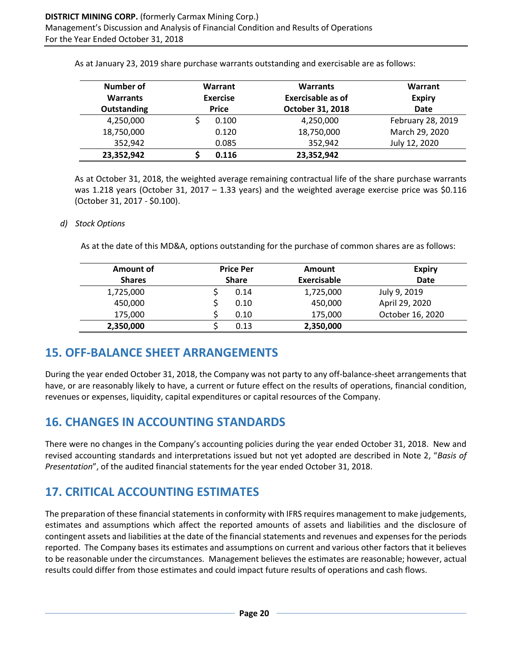| Number of  | Warrant<br><b>Exercise</b><br><b>Warrants</b><br><b>Price</b><br><b>Outstanding</b> |       | <b>Warrants</b>   | Warrant<br><b>Expiry</b><br><b>Date</b> |
|------------|-------------------------------------------------------------------------------------|-------|-------------------|-----------------------------------------|
|            |                                                                                     |       | Exercisable as of |                                         |
|            |                                                                                     |       | October 31, 2018  |                                         |
| 4,250,000  |                                                                                     | 0.100 | 4,250,000         | February 28, 2019                       |
| 18,750,000 |                                                                                     | 0.120 | 18,750,000        | March 29, 2020                          |
| 352,942    |                                                                                     | 0.085 | 352,942           | July 12, 2020                           |
| 23,352,942 |                                                                                     | 0.116 | 23,352,942        |                                         |

As at January 23, 2019 share purchase warrants outstanding and exercisable are as follows:

As at October 31, 2018, the weighted average remaining contractual life of the share purchase warrants was 1.218 years (October 31, 2017 – 1.33 years) and the weighted average exercise price was \$0.116 (October 31, 2017 - \$0.100).

#### *d) Stock Options*

As at the date of this MD&A, options outstanding for the purchase of common shares are as follows:

| Amount of     | <b>Price Per</b><br><b>Share</b> |      | <b>Amount</b> | <b>Expiry</b>    |
|---------------|----------------------------------|------|---------------|------------------|
| <b>Shares</b> |                                  |      | Exercisable   | <b>Date</b>      |
| 1,725,000     |                                  | 0.14 | 1,725,000     | July 9, 2019     |
| 450,000       |                                  | 0.10 | 450,000       | April 29, 2020   |
| 175,000       |                                  | 0.10 | 175,000       | October 16, 2020 |
| 2,350,000     |                                  | 0.13 | 2,350,000     |                  |

## **15. OFF-BALANCE SHEET ARRANGEMENTS**

During the year ended October 31, 2018, the Company was not party to any off-balance-sheet arrangements that have, or are reasonably likely to have, a current or future effect on the results of operations, financial condition, revenues or expenses, liquidity, capital expenditures or capital resources of the Company.

# **16. CHANGES IN ACCOUNTING STANDARDS**

There were no changes in the Company's accounting policies during the year ended October 31, 2018. New and revised accounting standards and interpretations issued but not yet adopted are described in Note 2, "*Basis of Presentation*", of the audited financial statements for the year ended October 31, 2018.

# **17. CRITICAL ACCOUNTING ESTIMATES**

The preparation of these financial statements in conformity with IFRS requires management to make judgements, estimates and assumptions which affect the reported amounts of assets and liabilities and the disclosure of contingent assets and liabilities at the date of the financial statements and revenues and expenses for the periods reported. The Company bases its estimates and assumptions on current and various other factors that it believes to be reasonable under the circumstances. Management believes the estimates are reasonable; however, actual results could differ from those estimates and could impact future results of operations and cash flows.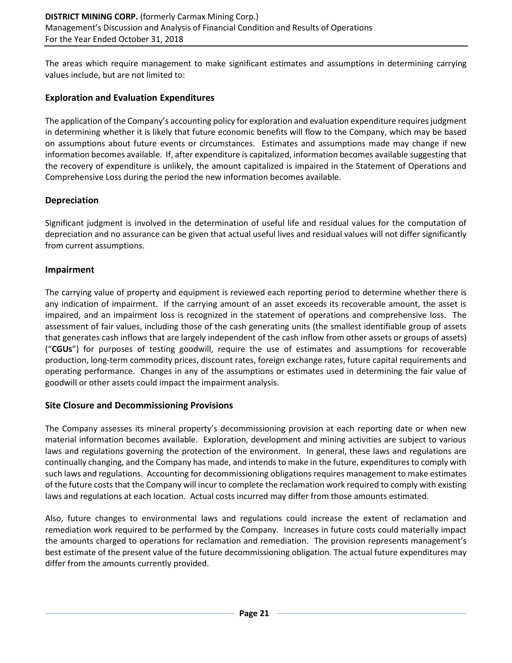The areas which require management to make significant estimates and assumptions in determining carrying values include, but are not limited to:

#### **Exploration and Evaluation Expenditures**

The application of the Company's accounting policy for exploration and evaluation expenditure requires judgment in determining whether it is likely that future economic benefits will flow to the Company, which may be based on assumptions about future events or circumstances. Estimates and assumptions made may change if new information becomes available. If, after expenditure is capitalized, information becomes available suggesting that the recovery of expenditure is unlikely, the amount capitalized is impaired in the Statement of Operations and Comprehensive Loss during the period the new information becomes available.

### **Depreciation**

Significant judgment is involved in the determination of useful life and residual values for the computation of depreciation and no assurance can be given that actual useful lives and residual values will not differ significantly from current assumptions.

### **Impairment**

The carrying value of property and equipment is reviewed each reporting period to determine whether there is any indication of impairment. If the carrying amount of an asset exceeds its recoverable amount, the asset is impaired, and an impairment loss is recognized in the statement of operations and comprehensive loss. The assessment of fair values, including those of the cash generating units (the smallest identifiable group of assets that generates cash inflows that are largely independent of the cash inflow from other assets or groups of assets) ("**CGUs**") for purposes of testing goodwill, require the use of estimates and assumptions for recoverable production, long-term commodity prices, discount rates, foreign exchange rates, future capital requirements and operating performance. Changes in any of the assumptions or estimates used in determining the fair value of goodwill or other assets could impact the impairment analysis.

#### **Site Closure and Decommissioning Provisions**

The Company assesses its mineral property's decommissioning provision at each reporting date or when new material information becomes available. Exploration, development and mining activities are subject to various laws and regulations governing the protection of the environment. In general, these laws and regulations are continually changing, and the Company has made, and intends to make in the future, expenditures to comply with such laws and regulations. Accounting for decommissioning obligations requires management to make estimates of the future costs that the Company will incur to complete the reclamation work required to comply with existing laws and regulations at each location. Actual costs incurred may differ from those amounts estimated.

Also, future changes to environmental laws and regulations could increase the extent of reclamation and remediation work required to be performed by the Company. Increases in future costs could materially impact the amounts charged to operations for reclamation and remediation. The provision represents management's best estimate of the present value of the future decommissioning obligation. The actual future expenditures may differ from the amounts currently provided.